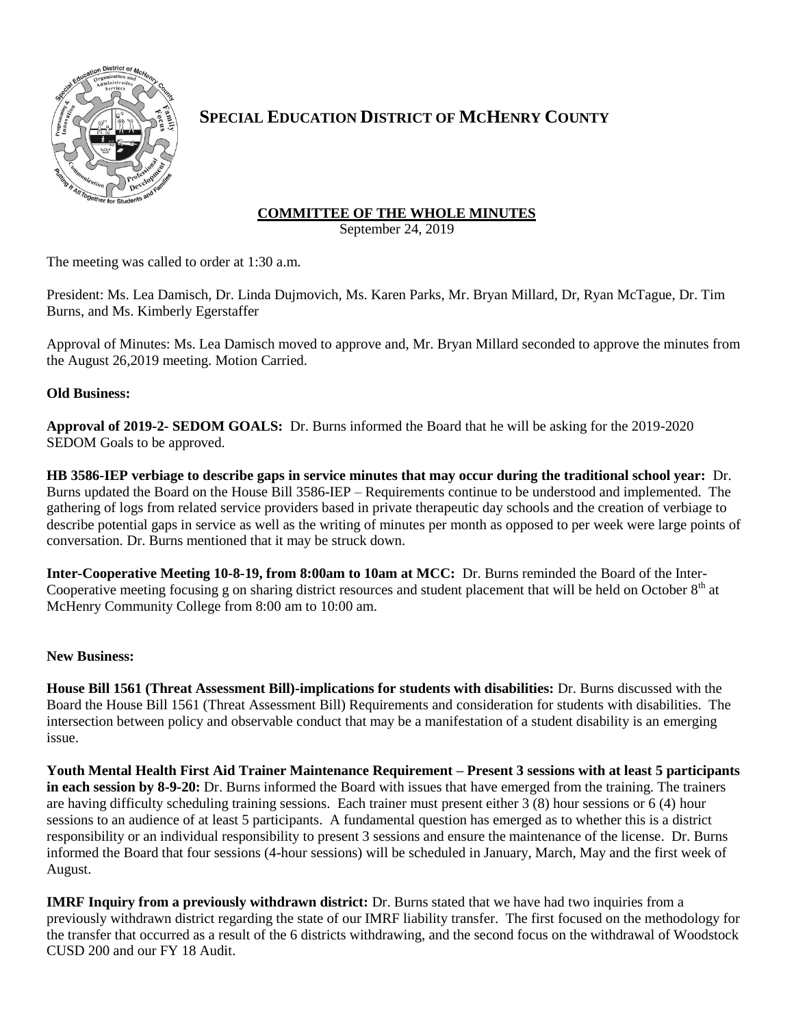

# **SPECIAL EDUCATION DISTRICT OF MCHENRY COUNTY**

## **COMMITTEE OF THE WHOLE MINUTES**

September 24, 2019

The meeting was called to order at 1:30 a.m.

President: Ms. Lea Damisch, Dr. Linda Dujmovich, Ms. Karen Parks, Mr. Bryan Millard, Dr, Ryan McTague, Dr. Tim Burns, and Ms. Kimberly Egerstaffer

Approval of Minutes: Ms. Lea Damisch moved to approve and, Mr. Bryan Millard seconded to approve the minutes from the August 26,2019 meeting. Motion Carried.

### **Old Business:**

**Approval of 2019-2- SEDOM GOALS:** Dr. Burns informed the Board that he will be asking for the 2019-2020 SEDOM Goals to be approved.

**HB 3586-IEP verbiage to describe gaps in service minutes that may occur during the traditional school year:** Dr. Burns updated the Board on the House Bill 3586-IEP – Requirements continue to be understood and implemented. The gathering of logs from related service providers based in private therapeutic day schools and the creation of verbiage to describe potential gaps in service as well as the writing of minutes per month as opposed to per week were large points of conversation. Dr. Burns mentioned that it may be struck down.

**Inter-Cooperative Meeting 10-8-19, from 8:00am to 10am at MCC:** Dr. Burns reminded the Board of the Inter-Cooperative meeting focusing g on sharing district resources and student placement that will be held on October  $8<sup>th</sup>$  at McHenry Community College from 8:00 am to 10:00 am.

### **New Business:**

**House Bill 1561 (Threat Assessment Bill)-implications for students with disabilities:** Dr. Burns discussed with the Board the House Bill 1561 (Threat Assessment Bill) Requirements and consideration for students with disabilities. The intersection between policy and observable conduct that may be a manifestation of a student disability is an emerging issue.

**Youth Mental Health First Aid Trainer Maintenance Requirement – Present 3 sessions with at least 5 participants in each session by 8-9-20:** Dr. Burns informed the Board with issues that have emerged from the training. The trainers are having difficulty scheduling training sessions. Each trainer must present either 3 (8) hour sessions or 6 (4) hour sessions to an audience of at least 5 participants. A fundamental question has emerged as to whether this is a district responsibility or an individual responsibility to present 3 sessions and ensure the maintenance of the license. Dr. Burns informed the Board that four sessions (4-hour sessions) will be scheduled in January, March, May and the first week of August.

**IMRF Inquiry from a previously withdrawn district:** Dr. Burns stated that we have had two inquiries from a previously withdrawn district regarding the state of our IMRF liability transfer. The first focused on the methodology for the transfer that occurred as a result of the 6 districts withdrawing, and the second focus on the withdrawal of Woodstock CUSD 200 and our FY 18 Audit.